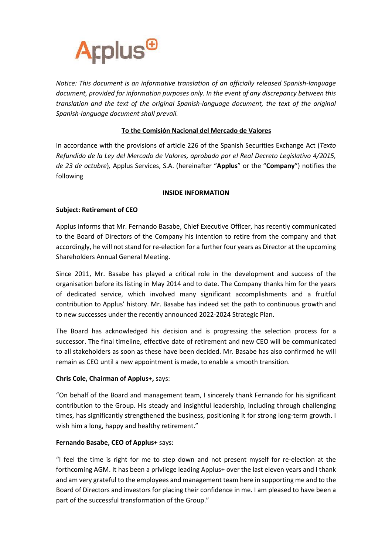

*Notice: This document is an informative translation of an officially released Spanish-language document, provided for information purposes only. In the event of any discrepancy between this translation and the text of the original Spanish-language document, the text of the original Spanish-language document shall prevail.*

# **To the Comisión Nacional del Mercado de Valores**

In accordance with the provisions of article 226 of the Spanish Securities Exchange Act (*Texto Refundido de la Ley del Mercado de Valores, aprobado por el Real Decreto Legislativo 4/2015, de 23 de octubre*)*,* Applus Services, S.A. (hereinafter "**Applus**" or the "**Company**") notifies the following

## **INSIDE INFORMATION**

## **Subject: Retirement of CEO**

Applus informs that Mr. Fernando Basabe, Chief Executive Officer, has recently communicated to the Board of Directors of the Company his intention to retire from the company and that accordingly, he will not stand for re-election for a further four years as Director at the upcoming Shareholders Annual General Meeting.

Since 2011, Mr. Basabe has played a critical role in the development and success of the organisation before its listing in May 2014 and to date. The Company thanks him for the years of dedicated service, which involved many significant accomplishments and a fruitful contribution to Applus' history. Mr. Basabe has indeed set the path to continuous growth and to new successes under the recently announced 2022-2024 Strategic Plan.

The Board has acknowledged his decision and is progressing the selection process for a successor. The final timeline, effective date of retirement and new CEO will be communicated to all stakeholders as soon as these have been decided. Mr. Basabe has also confirmed he will remain as CEO until a new appointment is made, to enable a smooth transition.

### **Chris Cole, Chairman of Applus+,** says:

"On behalf of the Board and management team, I sincerely thank Fernando for his significant contribution to the Group. His steady and insightful leadership, including through challenging times, has significantly strengthened the business, positioning it for strong long-term growth. I wish him a long, happy and healthy retirement."

### **Fernando Basabe, CEO of Applus+** says:

"I feel the time is right for me to step down and not present myself for re-election at the forthcoming AGM. It has been a privilege leading Applus+ over the last eleven years and I thank and am very grateful to the employees and management team here in supporting me and to the Board of Directors and investors for placing their confidence in me. I am pleased to have been a part of the successful transformation of the Group."